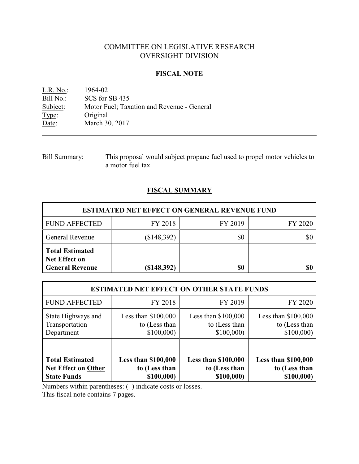# COMMITTEE ON LEGISLATIVE RESEARCH OVERSIGHT DIVISION

### **FISCAL NOTE**

<u>L.R. No.:</u> 1964-02<br>Bill No.: SCS for : Bill No.: SCS for SB 435<br>Subject: Motor Fuel; Tax Motor Fuel; Taxation and Revenue - General Type: Original Date: March 30, 2017

# **FISCAL SUMMARY**

| <b>ESTIMATED NET EFFECT ON GENERAL REVENUE FUND</b>                      |                |         |         |  |
|--------------------------------------------------------------------------|----------------|---------|---------|--|
| <b>FUND AFFECTED</b>                                                     | FY 2018        | FY 2019 | FY 2020 |  |
| <b>General Revenue</b>                                                   | (\$148,392)    | \$0     | \$0     |  |
| <b>Total Estimated</b><br><b>Net Effect on</b><br><b>General Revenue</b> | $($ \$148,392) | \$0     | \$0     |  |

| <b>ESTIMATED NET EFFECT ON OTHER STATE FUNDS</b> |                            |                            |                            |  |
|--------------------------------------------------|----------------------------|----------------------------|----------------------------|--|
| <b>FUND AFFECTED</b>                             | FY 2018                    | FY 2019                    | FY 2020                    |  |
| State Highways and                               | Less than $$100,000$       | Less than $$100,000$       | Less than $$100,000$       |  |
| Transportation                                   | to (Less than              | to (Less than              | to (Less than              |  |
| Department                                       | \$100,000                  | \$100,000                  | \$100,000                  |  |
| <b>Total Estimated</b>                           | <b>Less than \$100,000</b> | <b>Less than \$100,000</b> | <b>Less than \$100,000</b> |  |
| Net Effect on Other                              | to (Less than              | to (Less than              | to (Less than              |  |
| <b>State Funds</b>                               | \$100,000)                 | \$100,000)                 | \$100,000)                 |  |

Numbers within parentheses: ( ) indicate costs or losses.

This fiscal note contains 7 pages.

Bill Summary: This proposal would subject propane fuel used to propel motor vehicles to a motor fuel tax.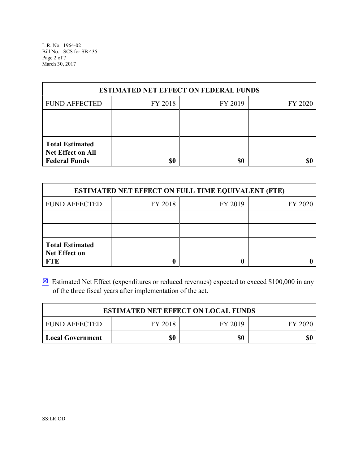L.R. No. 1964-02 Bill No. SCS for SB 435 Page 2 of 7 March 30, 2017

| <b>ESTIMATED NET EFFECT ON FEDERAL FUNDS</b>                        |         |         |         |  |
|---------------------------------------------------------------------|---------|---------|---------|--|
| <b>FUND AFFECTED</b>                                                | FY 2018 | FY 2019 | FY 2020 |  |
|                                                                     |         |         |         |  |
|                                                                     |         |         |         |  |
| <b>Total Estimated</b><br>Net Effect on All<br><b>Federal Funds</b> | \$0     | \$0     | \$C     |  |

| <b>ESTIMATED NET EFFECT ON FULL TIME EQUIVALENT (FTE)</b>    |         |         |         |  |
|--------------------------------------------------------------|---------|---------|---------|--|
| <b>FUND AFFECTED</b>                                         | FY 2018 | FY 2019 | FY 2020 |  |
|                                                              |         |         |         |  |
|                                                              |         |         |         |  |
| <b>Total Estimated</b><br><b>Net Effect on</b><br><b>FTE</b> |         |         |         |  |

**Estimated Net Effect (expenditures or reduced revenues) expected to exceed \$100,000 in any** of the three fiscal years after implementation of the act.

| <b>ESTIMATED NET EFFECT ON LOCAL FUNDS</b> |         |         |         |  |
|--------------------------------------------|---------|---------|---------|--|
| I FUND AFFECTED                            | FY 2018 | FY 2019 | EY 2020 |  |
| Local Government                           | \$0     | \$0     | \$0     |  |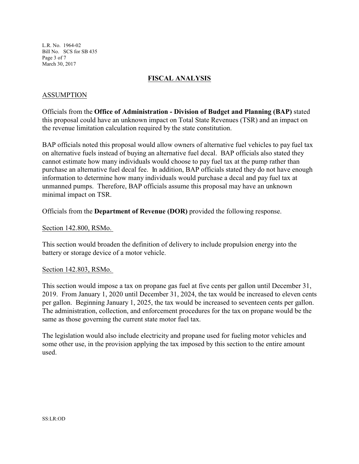L.R. No. 1964-02 Bill No. SCS for SB 435 Page 3 of 7 March 30, 2017

# **FISCAL ANALYSIS**

### ASSUMPTION

Officials from the **Office of Administration - Division of Budget and Planning (BAP)** stated this proposal could have an unknown impact on Total State Revenues (TSR) and an impact on the revenue limitation calculation required by the state constitution.

BAP officials noted this proposal would allow owners of alternative fuel vehicles to pay fuel tax on alternative fuels instead of buying an alternative fuel decal. BAP officials also stated they cannot estimate how many individuals would choose to pay fuel tax at the pump rather than purchase an alternative fuel decal fee. In addition, BAP officials stated they do not have enough information to determine how many individuals would purchase a decal and pay fuel tax at unmanned pumps. Therefore, BAP officials assume this proposal may have an unknown minimal impact on TSR.

Officials from the **Department of Revenue (DOR)** provided the following response.

#### Section 142.800, RSMo.

This section would broaden the definition of delivery to include propulsion energy into the battery or storage device of a motor vehicle.

#### Section 142.803, RSMo.

This section would impose a tax on propane gas fuel at five cents per gallon until December 31, 2019. From January 1, 2020 until December 31, 2024, the tax would be increased to eleven cents per gallon. Beginning January 1, 2025, the tax would be increased to seventeen cents per gallon. The administration, collection, and enforcement procedures for the tax on propane would be the same as those governing the current state motor fuel tax.

The legislation would also include electricity and propane used for fueling motor vehicles and some other use, in the provision applying the tax imposed by this section to the entire amount used.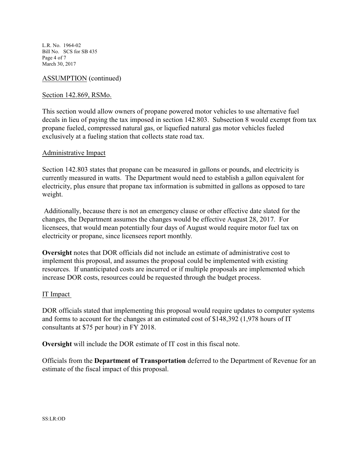L.R. No. 1964-02 Bill No. SCS for SB 435 Page 4 of 7 March 30, 2017

# ASSUMPTION (continued)

### Section 142.869, RSMo.

This section would allow owners of propane powered motor vehicles to use alternative fuel decals in lieu of paying the tax imposed in section 142.803. Subsection 8 would exempt from tax propane fueled, compressed natural gas, or liquefied natural gas motor vehicles fueled exclusively at a fueling station that collects state road tax.

#### Administrative Impact

Section 142.803 states that propane can be measured in gallons or pounds, and electricity is currently measured in watts. The Department would need to establish a gallon equivalent for electricity, plus ensure that propane tax information is submitted in gallons as opposed to tare weight.

 Additionally, because there is not an emergency clause or other effective date slated for the changes, the Department assumes the changes would be effective August 28, 2017. For licensees, that would mean potentially four days of August would require motor fuel tax on electricity or propane, since licensees report monthly.

**Oversight** notes that DOR officials did not include an estimate of administrative cost to implement this proposal, and assumes the proposal could be implemented with existing resources. If unanticipated costs are incurred or if multiple proposals are implemented which increase DOR costs, resources could be requested through the budget process.

### IT Impact

DOR officials stated that implementing this proposal would require updates to computer systems and forms to account for the changes at an estimated cost of \$148,392 (1,978 hours of IT consultants at \$75 per hour) in FY 2018.

**Oversight** will include the DOR estimate of IT cost in this fiscal note.

Officials from the **Department of Transportation** deferred to the Department of Revenue for an estimate of the fiscal impact of this proposal.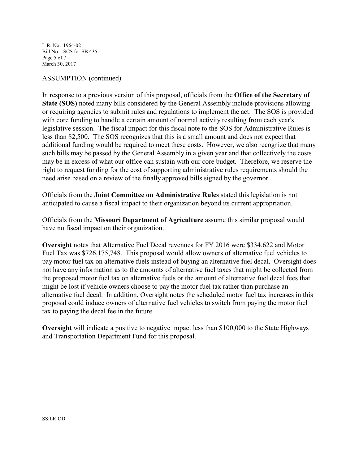L.R. No. 1964-02 Bill No. SCS for SB 435 Page 5 of 7 March 30, 2017

#### ASSUMPTION (continued)

In response to a previous version of this proposal, officials from the **Office of the Secretary of State (SOS)** noted many bills considered by the General Assembly include provisions allowing or requiring agencies to submit rules and regulations to implement the act. The SOS is provided with core funding to handle a certain amount of normal activity resulting from each year's legislative session. The fiscal impact for this fiscal note to the SOS for Administrative Rules is less than \$2,500. The SOS recognizes that this is a small amount and does not expect that additional funding would be required to meet these costs. However, we also recognize that many such bills may be passed by the General Assembly in a given year and that collectively the costs may be in excess of what our office can sustain with our core budget. Therefore, we reserve the right to request funding for the cost of supporting administrative rules requirements should the need arise based on a review of the finally approved bills signed by the governor.

Officials from the **Joint Committee on Administrative Rules** stated this legislation is not anticipated to cause a fiscal impact to their organization beyond its current appropriation.

Officials from the **Missouri Department of Agriculture** assume this similar proposal would have no fiscal impact on their organization.

**Oversight** notes that Alternative Fuel Decal revenues for FY 2016 were \$334,622 and Motor Fuel Tax was \$726,175,748. This proposal would allow owners of alternative fuel vehicles to pay motor fuel tax on alternative fuels instead of buying an alternative fuel decal. Oversight does not have any information as to the amounts of alternative fuel taxes that might be collected from the proposed motor fuel tax on alternative fuels or the amount of alternative fuel decal fees that might be lost if vehicle owners choose to pay the motor fuel tax rather than purchase an alternative fuel decal. In addition, Oversight notes the scheduled motor fuel tax increases in this proposal could induce owners of alternative fuel vehicles to switch from paying the motor fuel tax to paying the decal fee in the future.

**Oversight** will indicate a positive to negative impact less than \$100,000 to the State Highways and Transportation Department Fund for this proposal.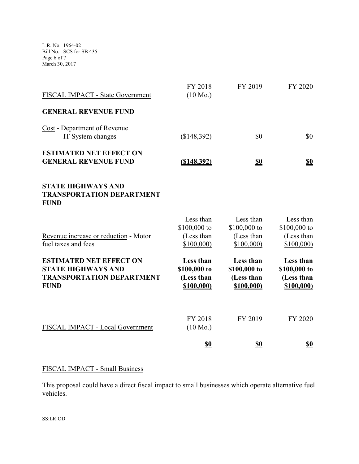L.R. No. 1964-02 Bill No. SCS for SB 435 Page 6 of 7 March 30, 2017

| FISCAL IMPACT - State Government                                                                               | FY 2018<br>$(10 \text{ Mo.})$                         | FY 2019                                               | FY 2020                                               |
|----------------------------------------------------------------------------------------------------------------|-------------------------------------------------------|-------------------------------------------------------|-------------------------------------------------------|
| <b>GENERAL REVENUE FUND</b>                                                                                    |                                                       |                                                       |                                                       |
| Cost - Department of Revenue<br>IT System changes                                                              | (\$148,392)                                           | \$0                                                   | \$0                                                   |
| <b>ESTIMATED NET EFFECT ON</b><br><b>GENERAL REVENUE FUND</b>                                                  | ( \$148, 392)                                         | <u>\$0</u>                                            | <u>\$0</u>                                            |
| <b>STATE HIGHWAYS AND</b><br><b>TRANSPORTATION DEPARTMENT</b><br><b>FUND</b>                                   |                                                       |                                                       |                                                       |
| Revenue increase or reduction - Motor<br>fuel taxes and fees                                                   | Less than<br>\$100,000 to<br>(Less than<br>\$100,000  | Less than<br>\$100,000 to<br>(Less than<br>\$100,000  | Less than<br>\$100,000 to<br>(Less than<br>\$100,000  |
| <b>ESTIMATED NET EFFECT ON</b><br><b>STATE HIGHWAYS AND</b><br><b>TRANSPORTATION DEPARTMENT</b><br><b>FUND</b> | Less than<br>\$100,000 to<br>(Less than<br>\$100,000) | Less than<br>\$100,000 to<br>(Less than<br>\$100,000) | Less than<br>\$100,000 to<br>(Less than<br>\$100,000) |
| FISCAL IMPACT - Local Government                                                                               | FY 2018<br>$(10 \text{ Mo.})$                         | FY 2019                                               | FY 2020                                               |
|                                                                                                                | <u>\$0</u>                                            | <u>\$0</u>                                            | <u>\$0</u>                                            |

# FISCAL IMPACT - Small Business

This proposal could have a direct fiscal impact to small businesses which operate alternative fuel vehicles.